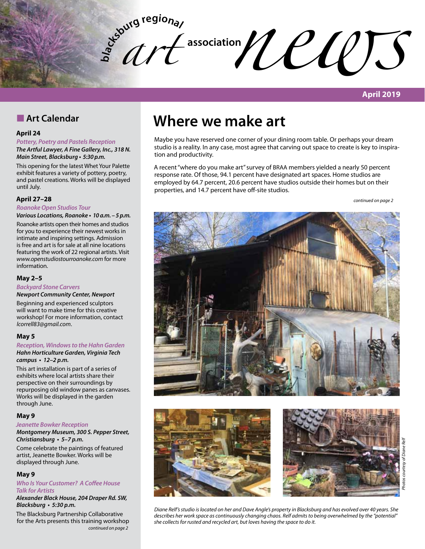**bla**  $\frac{d^{s_{\text{obj}}}{dt}}{dt}$  association  $\text{U}\text{U}\text{U}$ *art* 

# **April 2019**

# **n** Art Calendar

### **April 24**

### *Pottery, Poetry and Pastels Reception*

*The Artful Lawyer, A Fine Gallery, Inc., 318 N. Main Street, Blacksburg* **• 5:30 p.m.**

This opening for the latest Whet Your Palette exhibit features a variety of pottery, poetry, and pastel creations. Works will be displayed until July.

### **April 27–28**

# *Roanoke Open Studios Tour*

*Various Locations, Roanoke* **• 10 a.m. – 5 p.m.**

Roanoke artists open their homes and studios for you to experience their newest works in intimate and inspiring settings. Admission is free and art is for sale at all nine locations featuring the work of 22 regional artists. Visit *www.openstudiostourroanoke.com* for more information.

### **May 2–5**

# *Backyard Stone Carvers*

**Newport Community Center, Newport** Beginning and experienced sculptors

will want to make time for this creative workshop! For more information, contact *lcorrell83@gmail.com*.

### **May 5**

#### *Reception, Windows to the Hahn Garden Hahn Horticulture Garden, Virginia Tech*  **campus • 12–2 p.m.**

This art installation is part of a series of exhibits where local artists share their perspective on their surroundings by repurposing old window panes as canvases. Works will be displayed in the garden through June.

### **May 9**

### *Jeanette Bowker Reception*

**Montgomery Museum, 300 S. Pepper Street, Christiansburg • 5–7 p.m.**

Come celebrate the paintings of featured artist, Jeanette Bowker. Works will be displayed through June.

### **May 9**

### **Who Is Your Customer? A Coffee House**  *Talk for Artists*

**Alexander Black House, 204 Draper Rd. SW, Blacksburg • 5:30 p.m.**

The Blacksburg Partnership Collaborative for the Arts presents this training workshop *continued on page 2*

# **Where we make art**

Maybe you have reserved one corner of your dining room table. Or perhaps your dream studio is a reality. In any case, most agree that carving out space to create is key to inspiration and productivity.

A recent "where do you make art" survey of BRAA members yielded a nearly 50 percent response rate. Of those, 94.1 percent have designated art spaces. Home studios are employed by 64.7 percent, 20.6 percent have studios outside their homes but on their properties, and 14.7 percent have off-site studios.

*continued on page 2*







*Diane Relf's studio is located on her and Dave Angle's property in Blacksburg and has evolved over 40 years. She describes her work space as continuously changing chaos. Relf admits to being overwhelmed by the "potential" she collects for rusted and recycled art, but loves having the space to do it.*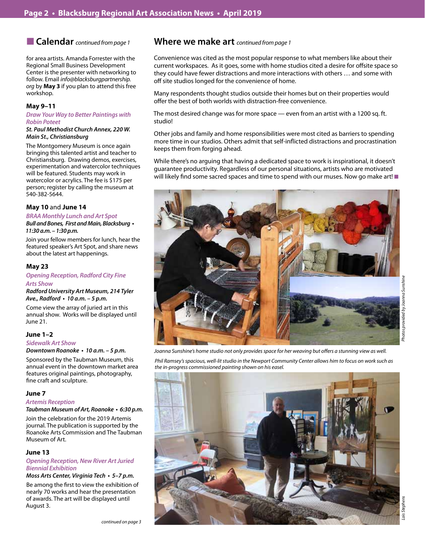# ■ **Calendar** *continued from page 1*

for area artists. Amanda Forrester with the Regional Small Business Development Center is the presenter with networking to follow. Email *info@blacksburgpartnership. org* by **May 3** if you plan to attend this free workshop.

### **May 9–11**

### **Draw Your Way to Better Paintings with**  *Robin Poteet*

### **St. Paul Methodist Church Annex, 220 W.**  *Main St., Christiansburg*

The Montgomery Museum is once again bringing this talented artist and teacher to Christiansburg. Drawing demos, exercises, experimentation and watercolor techniques will be featured. Students may work in watercolor or acrylics. The fee is \$175 per person; register by calling the museum at 540-382-5644.

### **May 10** and **June 14**

*BRAA Monthly Lunch and Art Spot* **Bull and Bones, First and Main, Blacksburg • 11:30 a.m. – 1:30 p.m.**

Join your fellow members for lunch, hear the featured speaker's Art Spot, and share news about the latest art happenings.

### **May 23**

# *Opening Reception, Radford City Fine*

#### *Arts Show*

**Radford University Art Museum, 214 Tyler Ave., Radford • 10 a.m. – 5 p.m.**

Come view the array of juried art in this annual show. Works will be displayed until June 21.

### **June 1–2**

### *Sidewalk Art Show*

**Downtown Roanoke • 10 a.m. – 5 p.m.**

Sponsored by the Taubman Museum, this annual event in the downtown market area features original paintings, photography, fine craft and sculpture.

### **June 7**

### **Artemis Reception**

**Taubman Museum of Art, Roanoke • 6:30 p.m.**

Join the celebration for the 2019 Artemis journal. The publication is supported by the Roanoke Arts Commission and The Taubman Museum of Art.

### **June 13**

### *Opening Reception, New River Art Juried Biennial Exhibition*

### **Moss Arts Center, Virginia Tech • 5–7 p.m.**

Be among the first to view the exhibition of nearly 70 works and hear the presentation of awards. The art will be displayed until August 3.

# **Where we make art** *continued from page 1*

Convenience was cited as the most popular response to what members like about their current workspaces. As it goes, some with home studios cited a desire for offsite space so they could have fewer distractions and more interactions with others … and some with off site studios longed for the convenience of home.

Many respondents thought studios outside their homes but on their properties would offer the best of both worlds with distraction-free convenience.

The most desired change was for more space — even from an artist with a 1200 sq. ft. studio!

Other jobs and family and home responsibilities were most cited as barriers to spending more time in our studios. Others admit that self-inflicted distractions and procrastination keeps them from forging ahead.

While there's no arguing that having a dedicated space to work is inspirational, it doesn't guarantee productivity. Regardless of our personal situations, artists who are motivated will likely find some sacred spaces and time to spend with our muses. Now go make art!



*Joanna Sunshine's home studio not only provides space for her weaving but offers a stunning view as well. Phil Ramsey's spacious, well-lit studio in the Newport Community Center allows him to focus on work such as* 

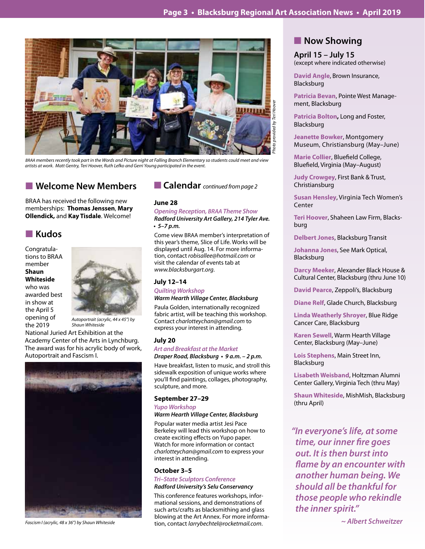

*BRAA members recently took part in the Words and Picture night at Falling Branch Elementary so students could meet and view artists at work. Matt Gentry, Teri Hoover, Ruth Lefko and Gerri Young participated in the event.*

# **N** Welcome New Members

BRAA has received the following new memberships: **Thomas Jenssen**, **Mary Ollendick,** and **Kay Tisdale**. Welcome!

# n **Kudos**

Congratulations to BRAA member **Shaun Whiteside** who was awarded best in show at the April 5 opening of the 2019



*Autoportrait (acrylic, 44 x 45") by Shaun Whiteside*

National Juried Art Exhibition at the Academy Center of the Arts in Lynchburg. The award was for his acrylic body of work, Autoportrait and Fascism I.



■ Calendar *continued from page 2* 

### **June 28**

### *Opening Reception, BRAA* **Theme Show Radford University Art Gallery, 214 Tyler Ave.**

**• 5–7 p.m.** 

Come view BRAA member's interpretation of this year's theme, Slice of Life. Works will be displayed until Aug. 14. For more information, contact *robisallee@hotmail.com* or visit the calendar of events tab at *www.blacksburgart.org*.

### **July 12–14**

*Quilting Workshop*

### **Warm Hearth Village Center, Blacksburg**

Paula Golden, internationally recognized fabric artist, will be teaching this workshop. Contact *charlotteychan@gmail.com* to express your interest in attending.

### **July 20**

### *Art and Breakfast at the Market*

**Draper Road, Blacksburg • 9 a.m. – 2 p.m.** 

Have breakfast, listen to music, and stroll this sidewalk exposition of unique works where you'll find paintings, collages, photography, sculpture, and more.

### **September 27–29**

*Yupo Workshop*

### **Warm Hearth Village Center, Blacksburg**

Popular water media artist Jesi Pace Berkeley will lead this workshop on how to create exciting effects on Yupo paper. Watch for more information or contact *charlotteychan@gmail.com* to express your interest in attending.

### **October 3–5**

**Tri–State Sculptors Conference** *Radford University's Selu Conservancy*

*Fascism I (acrylic, 48 x 36") by Shaun Whiteside ~ Albert Schweitzer* tion, contact *larrybechtel@rocketmail.com*. This conference features workshops, informational sessions, and demonstrations of such arts/crafts as blacksmithing and glass blowing at the Art Annex. For more informa-

# **Now Showing**

**April 15 – July 15** (except where indicated otherwise)

**David Angle**, Brown Insurance, Blacksburg

**Patricia Bevan**, Pointe West Management, Blacksburg

**Patricia Bolton,** Long and Foster, Blacksburg

**Jeanette Bowker**, Montgomery Museum, Christiansburg (May–June)

**Marie Collier**, Bluefield College, Bluefield, Virginia (May–August)

**Judy Crowgey**, First Bank & Trust, Christiansburg

**Susan Hensley**, Virginia Tech Women's Center

**Teri Hoover**, Shaheen Law Firm, Blacksburg

**Delbert Jones**, Blacksburg Transit

**Johanna Jones**, See Mark Optical, Blacksburg

**Darcy Meeker**, Alexander Black House & Cultural Center, Blacksburg (thru June 10)

**David Pearce**, Zeppoli's, Blacksburg

**Diane Relf**, Glade Church, Blacksburg

**Linda Weatherly Shroyer**, Blue Ridge Cancer Care, Blacksburg

**Karen Sewell**, Warm Hearth Village Center, Blacksburg (May–June)

**Lois Stephens**, Main Street Inn, Blacksburg

**Lisabeth Weisband**, Holtzman Alumni Center Gallery, Virginia Tech (thru May)

**Shaun Whiteside**, MishMish, Blacksburg (thru April)

**"In everyone's life, at some time, our inner fire goes**  *out. It is then burst into*  **flame by an encounter with another human being. We**  *should all be thankful for those people who rekindle the inner spirit."*